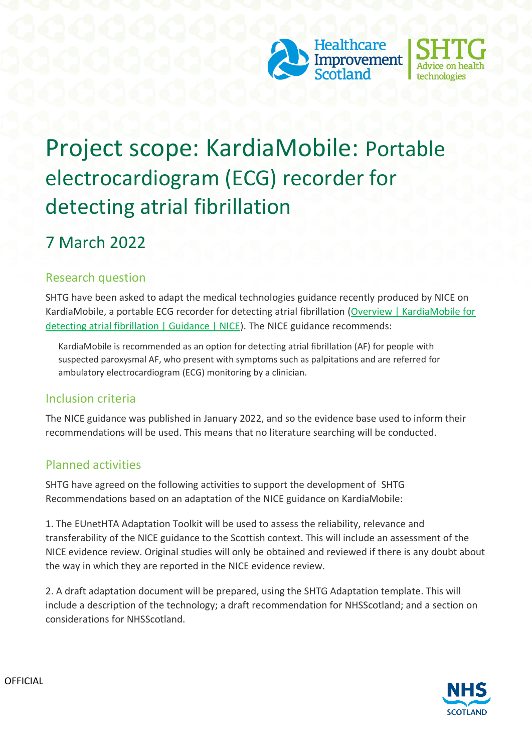



# Project scope: KardiaMobile: Portable electrocardiogram (ECG) recorder for detecting atrial fibrillation

## 7 March 2022

### Research question

SHTG have been asked to adapt the medical technologies guidance recently produced by NICE on KardiaMobile, a portable ECG recorder for detecting atrial fibrillation [\(Overview | KardiaMobile for](https://www.nice.org.uk/guidance/mtg64)  [detecting atrial fibrillation | Guidance | NICE\)](https://www.nice.org.uk/guidance/mtg64). The NICE guidance recommends:

KardiaMobile is recommended as an option for detecting atrial fibrillation (AF) for people with suspected paroxysmal AF, who present with symptoms such as palpitations and are referred for ambulatory electrocardiogram (ECG) monitoring by a clinician.

#### Inclusion criteria

The NICE guidance was published in January 2022, and so the evidence base used to inform their recommendations will be used. This means that no literature searching will be conducted.

#### Planned activities

SHTG have agreed on the following activities to support the development of SHTG Recommendations based on an adaptation of the NICE guidance on KardiaMobile:

1. The EUnetHTA Adaptation Toolkit will be used to assess the reliability, relevance and transferability of the NICE guidance to the Scottish context. This will include an assessment of the NICE evidence review. Original studies will only be obtained and reviewed if there is any doubt about the way in which they are reported in the NICE evidence review.

2. A draft adaptation document will be prepared, using the SHTG Adaptation template. This will include a description of the technology; a draft recommendation for NHSScotland; and a section on considerations for NHSScotland.